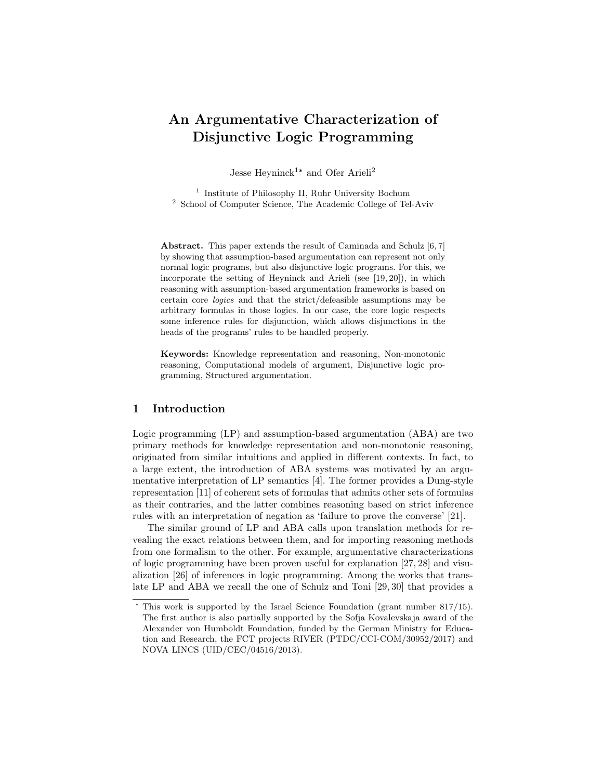# An Argumentative Characterization of Disjunctive Logic Programming

Jesse Heyninck<sup>1\*</sup> and Ofer Arieli<sup>2</sup>

<sup>1</sup> Institute of Philosophy II, Ruhr University Bochum <sup>2</sup> School of Computer Science, The Academic College of Tel-Aviv

Abstract. This paper extends the result of Caminada and Schulz [6,7] by showing that assumption-based argumentation can represent not only normal logic programs, but also disjunctive logic programs. For this, we incorporate the setting of Heyninck and Arieli (see [19, 20]), in which reasoning with assumption-based argumentation frameworks is based on certain core logics and that the strict/defeasible assumptions may be arbitrary formulas in those logics. In our case, the core logic respects some inference rules for disjunction, which allows disjunctions in the heads of the programs' rules to be handled properly.

Keywords: Knowledge representation and reasoning, Non-monotonic reasoning, Computational models of argument, Disjunctive logic programming, Structured argumentation.

## 1 Introduction

Logic programming (LP) and assumption-based argumentation (ABA) are two primary methods for knowledge representation and non-monotonic reasoning, originated from similar intuitions and applied in different contexts. In fact, to a large extent, the introduction of ABA systems was motivated by an argumentative interpretation of LP semantics [4]. The former provides a Dung-style representation [11] of coherent sets of formulas that admits other sets of formulas as their contraries, and the latter combines reasoning based on strict inference rules with an interpretation of negation as 'failure to prove the converse' [21].

The similar ground of LP and ABA calls upon translation methods for revealing the exact relations between them, and for importing reasoning methods from one formalism to the other. For example, argumentative characterizations of logic programming have been proven useful for explanation [27, 28] and visualization [26] of inferences in logic programming. Among the works that translate LP and ABA we recall the one of Schulz and Toni [29, 30] that provides a

<sup>\*</sup> This work is supported by the Israel Science Foundation (grant number 817/15). The first author is also partially supported by the Sofja Kovalevskaja award of the Alexander von Humboldt Foundation, funded by the German Ministry for Education and Research, the FCT projects RIVER (PTDC/CCI-COM/30952/2017) and NOVA LINCS (UID/CEC/04516/2013).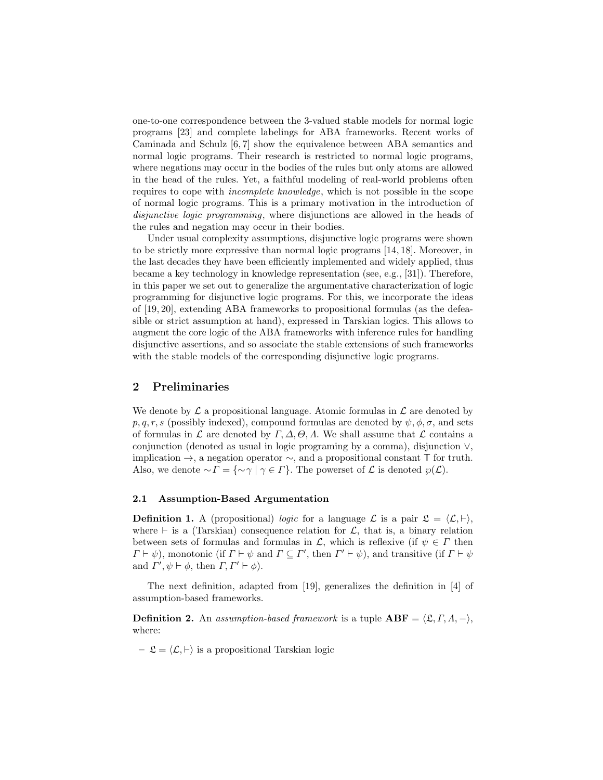one-to-one correspondence between the 3-valued stable models for normal logic programs [23] and complete labelings for ABA frameworks. Recent works of Caminada and Schulz [6, 7] show the equivalence between ABA semantics and normal logic programs. Their research is restricted to normal logic programs, where negations may occur in the bodies of the rules but only atoms are allowed in the head of the rules. Yet, a faithful modeling of real-world problems often requires to cope with incomplete knowledge, which is not possible in the scope of normal logic programs. This is a primary motivation in the introduction of disjunctive logic programming, where disjunctions are allowed in the heads of the rules and negation may occur in their bodies.

Under usual complexity assumptions, disjunctive logic programs were shown to be strictly more expressive than normal logic programs [14, 18]. Moreover, in the last decades they have been efficiently implemented and widely applied, thus became a key technology in knowledge representation (see, e.g., [31]). Therefore, in this paper we set out to generalize the argumentative characterization of logic programming for disjunctive logic programs. For this, we incorporate the ideas of [19, 20], extending ABA frameworks to propositional formulas (as the defeasible or strict assumption at hand), expressed in Tarskian logics. This allows to augment the core logic of the ABA frameworks with inference rules for handling disjunctive assertions, and so associate the stable extensions of such frameworks with the stable models of the corresponding disjunctive logic programs.

# 2 Preliminaries

We denote by  $\mathcal L$  a propositional language. Atomic formulas in  $\mathcal L$  are denoted by  $p, q, r, s$  (possibly indexed), compound formulas are denoted by  $\psi, \phi, \sigma$ , and sets of formulas in  $\mathcal L$  are denoted by  $\Gamma, \Delta, \Theta, \Lambda$ . We shall assume that  $\mathcal L$  contains a conjunction (denoted as usual in logic programing by a comma), disjunction ∨, implication →, a negation operator ∼, and a propositional constant T for truth. Also, we denote  $\sim \Gamma = \{ \sim \gamma \mid \gamma \in \Gamma \}$ . The powerset of  $\mathcal L$  is denoted  $\wp(\mathcal L)$ .

#### 2.1 Assumption-Based Argumentation

**Definition 1.** A (propositional) logic for a language  $\mathcal{L}$  is a pair  $\mathcal{L} = \langle \mathcal{L}, \vdash \rangle$ , where  $\vdash$  is a (Tarskian) consequence relation for  $\mathcal{L}$ , that is, a binary relation between sets of formulas and formulas in  $\mathcal{L}$ , which is reflexive (if  $\psi \in \Gamma$  then  $\Gamma \vdash \psi$ ), monotonic (if  $\Gamma \vdash \psi$  and  $\Gamma \subseteq \Gamma'$ , then  $\Gamma' \vdash \psi$ ), and transitive (if  $\Gamma \vdash \psi$ ) and  $\Gamma', \psi \vdash \phi$ , then  $\Gamma, \Gamma' \vdash \phi$ ).

The next definition, adapted from [19], generalizes the definition in [4] of assumption-based frameworks.

**Definition 2.** An assumption-based framework is a tuple  $ABF = \langle \mathfrak{L}, \Gamma, \Lambda, - \rangle$ , where:

–  $\mathfrak{L} = \langle \mathcal{L}, \vdash \rangle$  is a propositional Tarskian logic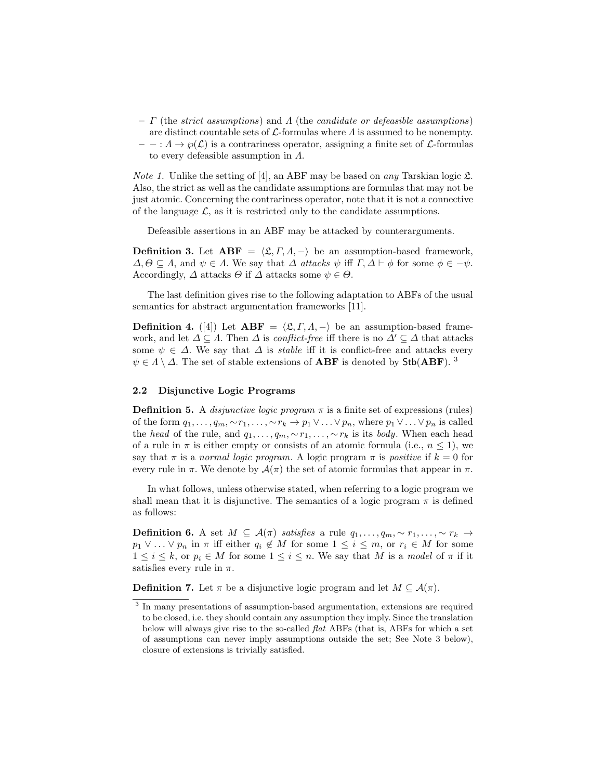- $\Gamma$  (the strict assumptions) and  $\Lambda$  (the candidate or defeasible assumptions) are distinct countable sets of  $\mathcal{L}$ -formulas where  $\Lambda$  is assumed to be nonempty.
- $- : \Lambda \to \varphi(\mathcal{L})$  is a contrariness operator, assigning a finite set of  $\mathcal{L}$ -formulas to every defeasible assumption in Λ.

*Note 1.* Unlike the setting of [4], an ABF may be based on *any* Tarskian logic  $\mathfrak{L}$ . Also, the strict as well as the candidate assumptions are formulas that may not be just atomic. Concerning the contrariness operator, note that it is not a connective of the language  $\mathcal{L}$ , as it is restricted only to the candidate assumptions.

Defeasible assertions in an ABF may be attacked by counterarguments.

**Definition 3.** Let  $ABF = \langle \mathfrak{L}, \Gamma, \Lambda, -\rangle$  be an assumption-based framework,  $\Delta, \Theta \subseteq \Lambda$ , and  $\psi \in \Lambda$ . We say that  $\Delta$  attacks  $\psi$  iff  $\Gamma, \Delta \vdash \phi$  for some  $\phi \in -\psi$ . Accordingly,  $\Delta$  attacks  $\Theta$  if  $\Delta$  attacks some  $\psi \in \Theta$ .

The last definition gives rise to the following adaptation to ABFs of the usual semantics for abstract argumentation frameworks [11].

**Definition 4.** ([4]) Let  $ABF = \langle \mathfrak{L}, \Gamma, A, -\rangle$  be an assumption-based framework, and let  $\Delta \subseteq \Lambda$ . Then  $\Delta$  is *conflict-free* iff there is no  $\Delta' \subseteq \Delta$  that attacks some  $\psi \in \Delta$ . We say that  $\Delta$  is *stable* iff it is conflict-free and attacks every  $\psi \in \Lambda \setminus \Delta$ . The set of stable extensions of **ABF** is denoted by **Stb(ABF)**. <sup>3</sup>

#### 2.2 Disjunctive Logic Programs

**Definition 5.** A *disjunctive logic program*  $\pi$  is a finite set of expressions (rules) of the form  $q_1, \ldots, q_m, \sim r_1, \ldots, \sim r_k \to p_1 \vee \ldots \vee p_n$ , where  $p_1 \vee \ldots \vee p_n$  is called the head of the rule, and  $q_1, \ldots, q_m, \, \sim r_1, \ldots, \, \sim r_k$  is its body. When each head of a rule in  $\pi$  is either empty or consists of an atomic formula (i.e.,  $n \leq 1$ ), we say that  $\pi$  is a normal logic program. A logic program  $\pi$  is positive if  $k = 0$  for every rule in  $\pi$ . We denote by  $\mathcal{A}(\pi)$  the set of atomic formulas that appear in  $\pi$ .

In what follows, unless otherwise stated, when referring to a logic program we shall mean that it is disjunctive. The semantics of a logic program  $\pi$  is defined as follows:

Definition 6. A set  $M \subseteq \mathcal{A}(\pi)$  satisfies a rule  $q_1, \ldots, q_m, \sim r_1, \ldots, \sim r_k$  →  $p_1 \vee \ldots \vee p_n$  in  $\pi$  iff either  $q_i \notin M$  for some  $1 \leq i \leq m$ , or  $r_i \in M$  for some  $1 \leq i \leq k$ , or  $p_i \in M$  for some  $1 \leq i \leq n$ . We say that M is a model of  $\pi$  if it satisfies every rule in  $\pi$ .

**Definition 7.** Let  $\pi$  be a disjunctive logic program and let  $M \subseteq \mathcal{A}(\pi)$ .

<sup>&</sup>lt;sup>3</sup> In many presentations of assumption-based argumentation, extensions are required to be closed, i.e. they should contain any assumption they imply. Since the translation below will always give rise to the so-called flat ABFs (that is, ABFs for which a set of assumptions can never imply assumptions outside the set; See Note 3 below), closure of extensions is trivially satisfied.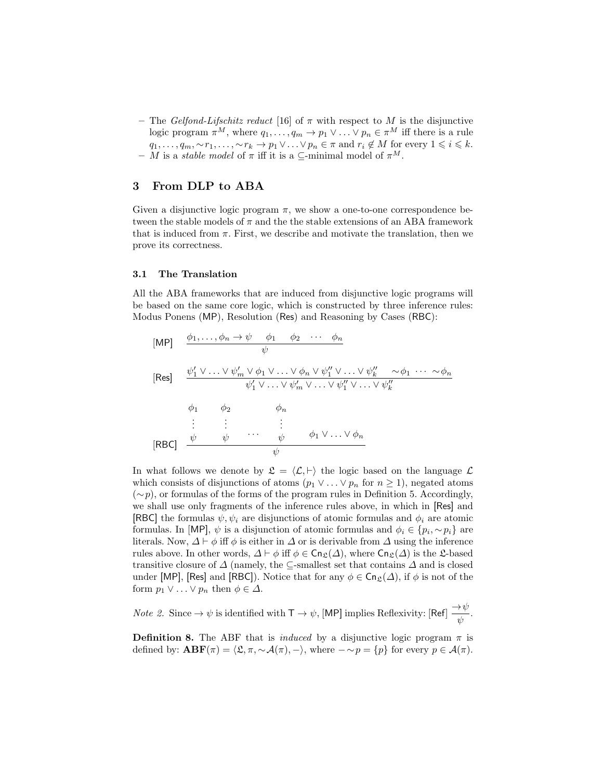– The Gelfond-Lifschitz reduct [16] of  $\pi$  with respect to M is the disjunctive logic program  $\pi^M$ , where  $q_1, \ldots, q_m \to p_1 \vee \ldots \vee p_n \in \pi^M$  iff there is a rule  $q_1, \ldots, q_m, \sim r_1, \ldots, \sim r_k \to p_1 \vee \ldots \vee p_n \in \pi$  and  $r_i \notin M$  for every  $1 \leq i \leq k$ . – M is a *stable model* of π iff it is a ⊂-minimal model of  $π<sup>M</sup>$ .

# 3 From DLP to ABA

Given a disjunctive logic program  $\pi$ , we show a one-to-one correspondence between the stable models of  $\pi$  and the the stable extensions of an ABA framework that is induced from  $\pi$ . First, we describe and motivate the translation, then we prove its correctness.

#### 3.1 The Translation

All the ABA frameworks that are induced from disjunctive logic programs will be based on the same core logic, which is constructed by three inference rules: Modus Ponens (MP), Resolution (Res) and Reasoning by Cases (RBC):

$$
\begin{array}{llll}\n\text{[MP]} & \frac{\phi_1, \dots, \phi_n \to \psi & \phi_1 \quad \phi_2 \quad \cdots \quad \phi_n}{\psi} \\
\text{[Res]} & \frac{\psi'_1 \lor \dots \lor \psi'_m \lor \phi_1 \lor \dots \lor \phi_n \lor \psi''_1 \lor \dots \lor \psi''_k \quad \sim \phi_1 \quad \cdots \quad \sim \phi_n}{\psi'_1 \lor \dots \lor \psi'_m \lor \dots \lor \psi''_1 \lor \dots \lor \psi''_k} \\
\phi_1 & \phi_2 & \phi_n \\
\vdots & \vdots & \vdots & \vdots \\
\psi & \psi & \psi & \phi_1 \lor \dots \lor \phi_n \\
\text{[RBC]} & \frac{\psi}{\psi} & \frac{\psi}{\psi} & \psi\n\end{array}
$$

In what follows we denote by  $\mathfrak{L} = \langle \mathcal{L}, \vdash \rangle$  the logic based on the language  $\mathcal{L}$ which consists of disjunctions of atoms  $(p_1 \vee \ldots \vee p_n$  for  $n \geq 1)$ , negated atoms  $(\sim p)$ , or formulas of the forms of the program rules in Definition 5. Accordingly, we shall use only fragments of the inference rules above, in which in [Res] and [RBC] the formulas  $\psi, \psi_i$  are disjunctions of atomic formulas and  $\phi_i$  are atomic formulas. In [MP],  $\psi$  is a disjunction of atomic formulas and  $\phi_i \in \{p_i, \sim p_i\}$  are literals. Now,  $\Delta \vdash \phi$  iff  $\phi$  is either in  $\Delta$  or is derivable from  $\Delta$  using the inference rules above. In other words,  $\Delta \vdash \phi$  iff  $\phi \in \text{Cn}_{\mathfrak{L}}(\Delta)$ , where  $\text{Cn}_{\mathfrak{L}}(\Delta)$  is the L-based transitive closure of  $\Delta$  (namely, the ⊂-smallest set that contains  $\Delta$  and is closed under [MP], [Res] and [RBC]). Notice that for any  $\phi \in \text{Cn}_{\mathfrak{L}}(\Delta)$ , if  $\phi$  is not of the form  $p_1 \vee \ldots \vee p_n$  then  $\phi \in \Delta$ .

*Note 2.* Since 
$$
\rightarrow \psi
$$
 is identified with  $\mathsf{T} \rightarrow \psi$ , [MP] implies Reflexivity: [Ref]  $\frac{\rightarrow \psi}{\psi}$ .

**Definition 8.** The ABF that is *induced* by a disjunctive logic program  $\pi$  is defined by:  $\mathbf{ABF}(\pi) = \langle \mathfrak{L}, \pi, \sim \mathcal{A}(\pi), -\rangle$ , where  $-\sim p = \{p\}$  for every  $p \in \mathcal{A}(\pi)$ .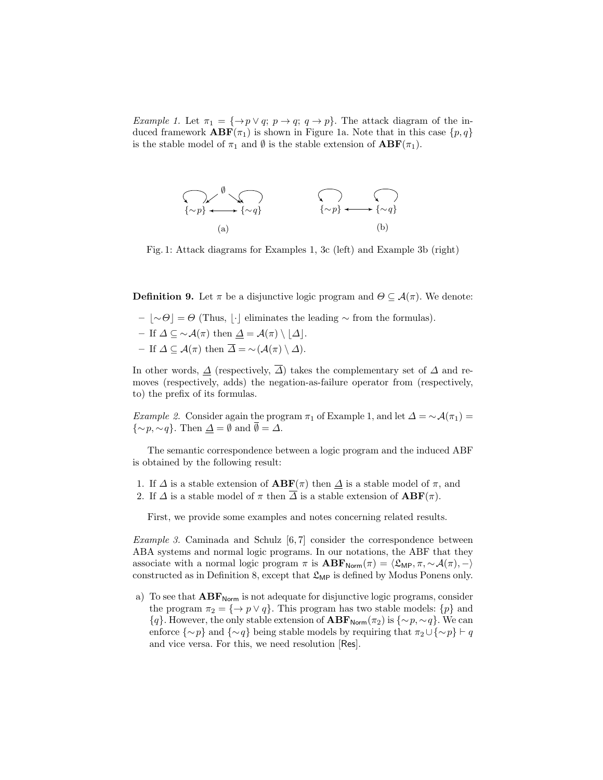*Example 1.* Let  $\pi_1 = \{ \rightarrow p \lor q; p \rightarrow q; q \rightarrow p \}$ . The attack diagram of the induced framework  $ABF(\pi_1)$  is shown in Figure 1a. Note that in this case  $\{p,q\}$ is the stable model of  $\pi_1$  and  $\emptyset$  is the stable extension of  $ABF(\pi_1)$ .



Fig. 1: Attack diagrams for Examples 1, 3c (left) and Example 3b (right)

**Definition 9.** Let  $\pi$  be a disjunctive logic program and  $\Theta \subseteq \mathcal{A}(\pi)$ . We denote:

- $|\sim \Theta| = \Theta$  (Thus,  $\lfloor \cdot \rfloor$  eliminates the leading ∼ from the formulas).
- If  $\Delta \subseteq \sim \mathcal{A}(\pi)$  then  $\Delta = \mathcal{A}(\pi) \setminus |\Delta|$ .
- If ∆ ⊆ A(π) then ∆ = ∼(A(π) \ ∆).

In other words,  $\Delta$  (respectively,  $\overline{\Delta}$ ) takes the complementary set of  $\Delta$  and removes (respectively, adds) the negation-as-failure operator from (respectively, to) the prefix of its formulas.

Example 2. Consider again the program  $\pi_1$  of Example 1, and let  $\Delta = \sim \mathcal{A}(\pi_1)$  $\{\sim p, \sim q\}$ . Then  $\Delta = \emptyset$  and  $\overline{\emptyset} = \Delta$ .

The semantic correspondence between a logic program and the induced ABF is obtained by the following result:

1. If  $\Delta$  is a stable extension of  $ABF(\pi)$  then  $\Delta$  is a stable model of  $\pi$ , and 2. If  $\Delta$  is a stable model of  $\pi$  then  $\overline{\Delta}$  is a stable extension of  $ABF(\pi)$ .

First, we provide some examples and notes concerning related results.

Example 3. Caminada and Schulz  $[6, 7]$  consider the correspondence between ABA systems and normal logic programs. In our notations, the ABF that they associate with a normal logic program  $\pi$  is  $ABF_{Norm}(\pi) = \langle \mathfrak{L}_{MP}, \pi, \sim \mathcal{A}(\pi), -\rangle$ constructed as in Definition 8, except that  $\mathfrak{L}_{MP}$  is defined by Modus Ponens only.

a) To see that  $ABF_{Norm}$  is not adequate for disjunctive logic programs, consider the program  $\pi_2 = \{ \rightarrow p \lor q \}$ . This program has two stable models:  $\{p\}$  and  $\{q\}$ . However, the only stable extension of  $ABF_{Norm}(\pi_2)$  is  $\{\sim p, \sim q\}$ . We can enforce  $\{\sim p\}$  and  $\{\sim q\}$  being stable models by requiring that  $\pi_2 \cup \{\sim p\} \vdash q$ and vice versa. For this, we need resolution [Res].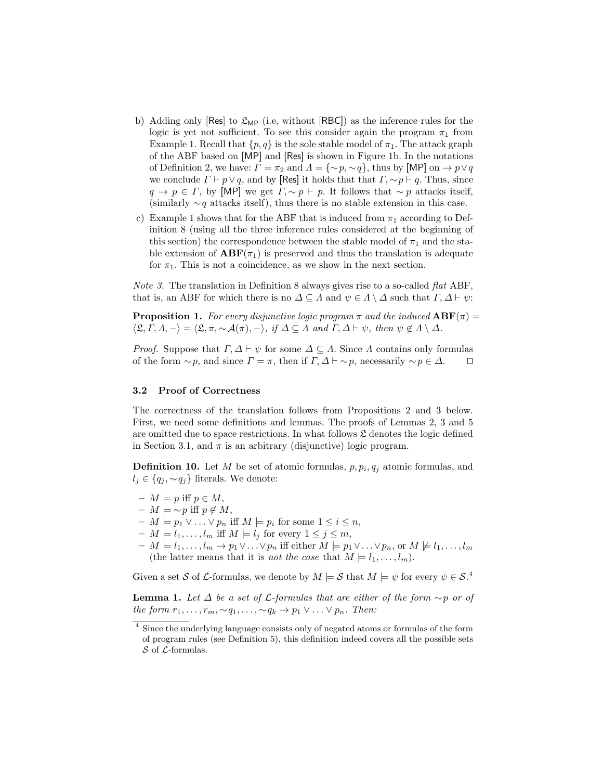- b) Adding only  $[Res]$  to  $\mathfrak{L}_{MP}$  (i.e, without  $[RBC]$ ) as the inference rules for the logic is yet not sufficient. To see this consider again the program  $\pi_1$  from Example 1. Recall that  $\{p, q\}$  is the sole stable model of  $\pi_1$ . The attack graph of the ABF based on [MP] and [Res] is shown in Figure 1b. In the notations of Definition 2, we have:  $\Gamma = \pi_2$  and  $\Lambda = \{\sim p, \sim q\}$ , thus by [MP] on  $\to p \lor q$ we conclude  $\Gamma \vdash p \lor q$ , and by [Res] it holds that that  $\Gamma, \sim p \vdash q$ . Thus, since  $q \to p \in \Gamma$ , by [MP] we get  $\Gamma, \sim p \vdash p$ . It follows that  $\sim p$  attacks itself, (similarly  $\sim q$  attacks itself), thus there is no stable extension in this case.
- c) Example 1 shows that for the ABF that is induced from  $\pi_1$  according to Definition 8 (using all the three inference rules considered at the beginning of this section) the correspondence between the stable model of  $\pi_1$  and the stable extension of  $ABF(\pi_1)$  is preserved and thus the translation is adequate for  $\pi_1$ . This is not a coincidence, as we show in the next section.

Note 3. The translation in Definition 8 always gives rise to a so-called flat ABF, that is, an ABF for which there is no  $\Delta \subseteq \Lambda$  and  $\psi \in \Lambda \setminus \Delta$  such that  $\Gamma, \Delta \vdash \psi$ :

**Proposition 1.** For every disjunctive logic program  $\pi$  and the induced  $ABF(\pi) =$  $\langle \mathfrak{L}, \Gamma, \Lambda, -\rangle = \langle \mathfrak{L}, \pi, \sim \mathcal{A}(\pi), -\rangle$ , if  $\Delta \subseteq \Lambda$  and  $\Gamma, \Delta \vdash \psi$ , then  $\psi \notin \Lambda \setminus \Delta$ .

*Proof.* Suppose that  $\Gamma$ ,  $\Delta \vdash \psi$  for some  $\Delta \subseteq \Lambda$ . Since  $\Lambda$  contains only formulas of the form  $\sim p$ , and since  $\Gamma = \pi$ , then if  $\Gamma, \Delta \vdash \sim p$ , necessarily  $\sim p \in \Delta$ .  $\Box$ 

#### 3.2 Proof of Correctness

The correctness of the translation follows from Propositions 2 and 3 below. First, we need some definitions and lemmas. The proofs of Lemmas 2, 3 and 5 are omitted due to space restrictions. In what follows  $\mathfrak L$  denotes the logic defined in Section 3.1, and  $\pi$  is an arbitrary (disjunctive) logic program.

**Definition 10.** Let M be set of atomic formulas,  $p, p_i, q_j$  atomic formulas, and  $l_j \in \{q_j, \sim q_j\}$  literals. We denote:

- $M \models p \text{ iff } p \in M,$
- $M \models \sim p \text{ iff } p \notin M,$
- $M \models p_1 \vee \ldots \vee p_n$  iff  $M \models p_i$  for some  $1 \leq i \leq n$ ,
- $M \models l_1, \ldots, l_m$  iff  $M \models l_j$  for every  $1 \leq j \leq m$ ,
- $M \models l_1, \ldots, l_m \rightarrow p_1 \vee \ldots \vee p_n$  iff either  $M \models p_1 \vee \ldots \vee p_n$ , or  $M \not\models l_1, \ldots, l_m$ (the latter means that it is *not the case* that  $M \models l_1, \ldots, l_m$ ).

Given a set S of L-formulas, we denote by  $M \models S$  that  $M \models \psi$  for every  $\psi \in S$ .<sup>4</sup>

**Lemma 1.** Let  $\Delta$  be a set of  $\mathcal{L}$ -formulas that are either of the form ∼p or of the form  $r_1, \ldots, r_m, \sim q_1, \ldots, \sim q_k \to p_1 \vee \ldots \vee p_n$ . Then:

<sup>4</sup> Since the underlying language consists only of negated atoms or formulas of the form of program rules (see Definition 5), this definition indeed covers all the possible sets  $S$  of  $\mathcal{L}$ -formulas.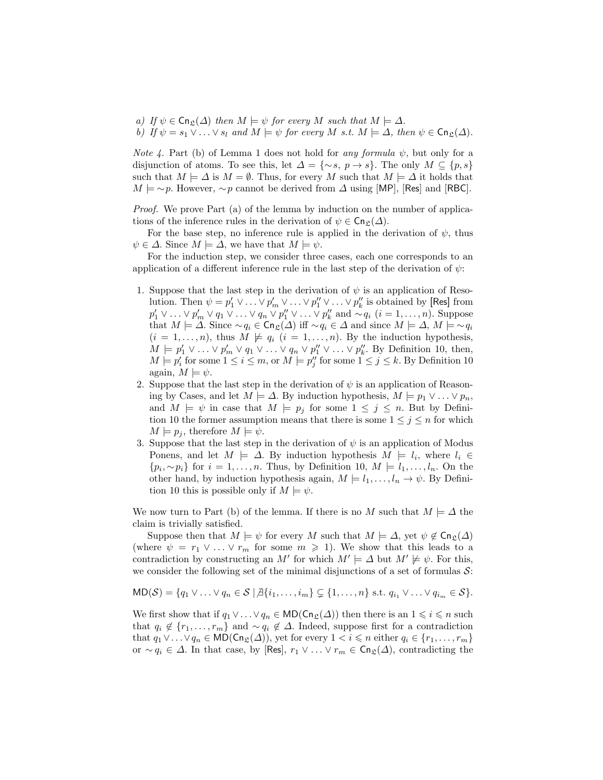- a) If  $\psi \in \mathsf{Cn}_{\mathfrak{L}}(\Delta)$  then  $M \models \psi$  for every M such that  $M \models \Delta$ .
- b) If  $\psi = s_1 \vee \ldots \vee s_l$  and  $M \models \psi$  for every M s.t.  $M \models \Delta$ , then  $\psi \in \text{Cn}_{\mathfrak{L}}(\Delta)$ .

*Note 4.* Part (b) of Lemma 1 does not hold for any formula  $\psi$ , but only for a disjunction of atoms. To see this, let  $\Delta = \{\sim s, p \to s\}$ . The only  $M \subseteq \{p, s\}$ such that  $M \models \Delta$  is  $M = \emptyset$ . Thus, for every M such that  $M \models \Delta$  it holds that  $M \models \sim p$ . However,  $\sim p$  cannot be derived from  $\Delta$  using [MP], [Res] and [RBC].

Proof. We prove Part (a) of the lemma by induction on the number of applications of the inference rules in the derivation of  $\psi \in \mathsf{Cn}_{\mathfrak{L}}(\Delta)$ .

For the base step, no inference rule is applied in the derivation of  $\psi$ , thus  $\psi \in \Delta$ . Since  $M \models \Delta$ , we have that  $M \models \psi$ .

For the induction step, we consider three cases, each one corresponds to an application of a different inference rule in the last step of the derivation of  $\psi$ :

- 1. Suppose that the last step in the derivation of  $\psi$  is an application of Resolution. Then  $\psi = p'_1 \vee \ldots \vee p'_m \vee \ldots \vee p''_1 \vee \ldots \vee p''_k$  is obtained by [Res] from  $p'_1 \vee \ldots \vee p'_m \vee q_1 \vee \ldots \vee q_n \vee p''_1 \vee \ldots \vee p''_k$  and  $\sim q_i$   $(i = 1, \ldots, n)$ . Suppose that  $M \models \Delta$ . Since  $\sim q_i \in \mathsf{Cn}_{\mathfrak{L}}(\Delta)$  iff  $\sim q_i \in \Delta$  and since  $M \models \Delta$ ,  $M \models \sim q_i$  $(i = 1, \ldots, n)$ , thus  $M \not\models q_i$   $(i = 1, \ldots, n)$ . By the induction hypothesis,  $M \models p'_1 \vee \ldots \vee p'_m \vee q_1 \vee \ldots \vee q_n \vee p''_1 \vee \ldots \vee p''_k$ . By Definition 10, then,  $M \models p'_i$  for some  $1 \leq i \leq m$ , or  $M \models p''_j$  for some  $1 \leq j \leq k$ . By Definition 10 again,  $M \models \psi$ .
- 2. Suppose that the last step in the derivation of  $\psi$  is an application of Reasoning by Cases, and let  $M \models \Delta$ . By induction hypothesis,  $M \models p_1 \vee \ldots \vee p_n$ , and  $M \models \psi$  in case that  $M \models p_j$  for some  $1 \leq j \leq n$ . But by Definition 10 the former assumption means that there is some  $1 \leq j \leq n$  for which  $M \models p_i$ , therefore  $M \models \psi$ .
- 3. Suppose that the last step in the derivation of  $\psi$  is an application of Modus Ponens, and let  $M \models \Delta$ . By induction hypothesis  $M \models l_i$ , where  $l_i \in$  $\{p_i, \sim p_i\}$  for  $i = 1, \ldots, n$ . Thus, by Definition 10,  $M \models l_1, \ldots, l_n$ . On the other hand, by induction hypothesis again,  $M \models l_1, \ldots, l_n \rightarrow \psi$ . By Definition 10 this is possible only if  $M \models \psi$ .

We now turn to Part (b) of the lemma. If there is no M such that  $M \models \Delta$  the claim is trivially satisfied.

Suppose then that  $M \models \psi$  for every M such that  $M \models \Delta$ , yet  $\psi \notin \mathsf{Cn}_{\mathfrak{L}}(\Delta)$ (where  $\psi = r_1 \vee \ldots \vee r_m$  for some  $m \geq 1$ ). We show that this leads to a contradiction by constructing an M' for which  $M' \models \Delta$  but  $M' \not\models \psi$ . For this, we consider the following set of the minimal disjunctions of a set of formulas  $\mathcal{S}$ :

$$
MD(S) = \{q_1 \vee \ldots \vee q_n \in S \mid \nexists \{i_1, \ldots, i_m\} \subsetneq \{1, \ldots, n\} \text{ s.t. } q_{i_1} \vee \ldots \vee q_{i_m} \in S\}.
$$

We first show that if  $q_1 \vee \ldots \vee q_n \in \text{MD}(\text{Cn}_{\mathfrak{L}}(\Delta))$  then there is an  $1 \leq i \leq n$  such that  $q_i \notin \{r_1, \ldots, r_m\}$  and  $\sim q_i \notin \Delta$ . Indeed, suppose first for a contradiction that  $q_1 \vee \ldots \vee q_n \in \text{MD}(Cn_{\mathfrak{L}}(\Delta))$ , yet for every  $1 < i \leq n$  either  $q_i \in \{r_1, \ldots, r_m\}$ or  $\sim q_i \in \Delta$ . In that case, by [Res],  $r_1 \vee \ldots \vee r_m \in \mathsf{Cn}_{\mathfrak{L}}(\Delta)$ , contradicting the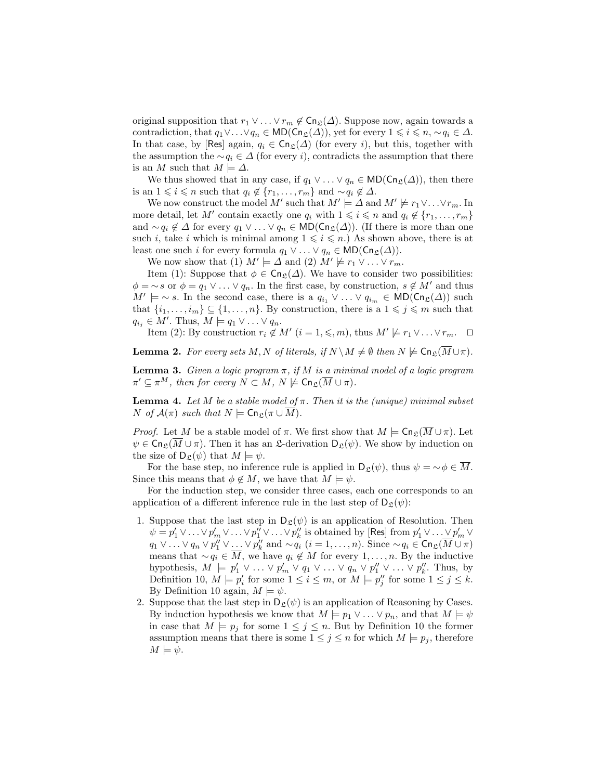original supposition that  $r_1 \vee \ldots \vee r_m \notin \text{Cn}_{\mathfrak{L}}(\Delta)$ . Suppose now, again towards a contradiction, that  $q_1 \vee \ldots \vee q_n \in \text{MD}(Cn_{\mathfrak{L}}(\Delta))$ , yet for every  $1 \leq i \leq n, \sim q_i \in \Delta$ . In that case, by [Res] again,  $q_i \in \text{Cn}_{\mathfrak{L}}(\Delta)$  (for every i), but this, together with the assumption the  $\sim q_i \in \Delta$  (for every i), contradicts the assumption that there is an M such that  $M \models \Delta$ .

We thus showed that in any case, if  $q_1 \vee \ldots \vee q_n \in \text{MD}(C_n(\Delta))$ , then there is an  $1 \leq i \leq n$  such that  $q_i \notin \{r_1, \ldots, r_m\}$  and  $\sim q_i \notin \Delta$ .

We now construct the model M' such that  $M' \models \Delta$  and  $M' \not\models r_1 \vee \ldots \vee r_m$ . In more detail, let M' contain exactly one  $q_i$  with  $1 \leq i \leq n$  and  $q_i \notin \{r_1, \ldots, r_m\}$ and  $\sim q_i \notin \Delta$  for every  $q_1 \vee \ldots \vee q_n \in \text{MD}(\text{Cn}_{\mathfrak{L}}(\Delta))$ . (If there is more than one such i, take i which is minimal among  $1 \leq i \leq n$ .) As shown above, there is at least one such *i* for every formula  $q_1 \vee \ldots \vee q_n \in \text{MD}(\text{Cn}_{\mathfrak{L}}(\Delta)).$ 

We now show that (1)  $M' \models \Delta$  and (2)  $M' \not\models r_1 \vee \ldots \vee r_m$ .

Item (1): Suppose that  $\phi \in \mathsf{Cn}_{\mathfrak{L}}(\Delta)$ . We have to consider two possibilities:  $\phi = \neg s$  or  $\phi = q_1 \vee \ldots \vee q_n$ . In the first case, by construction,  $s \notin M'$  and thus  $M' \models \sim s$ . In the second case, there is a  $q_{i_1} \vee \ldots \vee q_{i_m} \in \text{MD}(\text{Cn}_{\mathfrak{L}}(\Delta))$  such that  $\{i_1, \ldots, i_m\} \subseteq \{1, \ldots, n\}$ . By construction, there is a  $1 \leqslant j \leqslant m$  such that  $q_{i_j} \in M'.$  Thus,  $M \models q_1 \vee \ldots \vee q_n.$ 

Item (2): By construction  $r_i \notin M'$   $(i = 1, \leqslant, m)$ , thus  $M' \not\models r_1 \vee \ldots \vee r_m$ .  $\Box$ 

**Lemma 2.** For every sets M, N of literals, if  $N \setminus M \neq \emptyset$  then  $N \not\models \mathsf{Cn}_\mathfrak{L}(\overline{M} \cup \pi)$ .

**Lemma 3.** Given a logic program  $\pi$ , if M is a minimal model of a logic program  $\pi' \subseteq \pi^M$ , then for every  $N \subset M$ ,  $N \not\models \mathsf{Cn}_\mathfrak{L}(\overline{M} \cup \pi)$ .

**Lemma 4.** Let M be a stable model of  $\pi$ . Then it is the (unique) minimal subset N of  $\mathcal{A}(\pi)$  such that  $N \models \mathsf{Cn}_{\mathfrak{C}}(\pi \cup \overline{M}).$ 

*Proof.* Let M be a stable model of  $\pi$ . We first show that  $M \models \text{Cn}_{\mathfrak{L}}(\overline{M} \cup \pi)$ . Let  $\psi \in \mathsf{Cn}_{\mathfrak{L}}(\overline{M} \cup \pi)$ . Then it has an  $\mathfrak{L}$ -derivation  $\mathsf{D}_{\mathfrak{L}}(\psi)$ . We show by induction on the size of  $D_{\mathfrak{L}}(\psi)$  that  $M \models \psi$ .

For the base step, no inference rule is applied in  $D_{\mathcal{L}}(\psi)$ , thus  $\psi = \psi \in \overline{M}$ . Since this means that  $\phi \notin M$ , we have that  $M \models \psi$ .

For the induction step, we consider three cases, each one corresponds to an application of a different inference rule in the last step of  $D_{\mathfrak{L}}(\psi)$ :

- 1. Suppose that the last step in  $D_{\mathcal{L}}(\psi)$  is an application of Resolution. Then  $\psi = p'_1 \vee \ldots \vee p'_m \vee \ldots \vee p''_1 \vee \ldots \vee p''_k$  is obtained by [Res] from  $p'_1 \vee \ldots \vee p'_m \vee$  $q_1 \vee \ldots \vee q_n \vee p_1'' \vee \ldots \vee p_k''$  and  $\sim q_i$   $(i = 1, \ldots, n)$ . Since  $\sim q_i \in \mathsf{Cn}_\mathfrak{L}(\overline{M} \cup \pi)$ means that  $\sim q_i \in \overline{M}$ , we have  $q_i \notin M$  for every 1, ..., n. By the inductive hypothesis,  $M \models p'_1 \lor \dots \lor p'_m \lor q_1 \lor \dots \lor q_n \lor p''_1 \lor \dots \lor p''_k$ . Thus, by Definition 10,  $M \models p'_i$  for some  $1 \leq i \leq m$ , or  $M \models p''_j$  for some  $1 \leq j \leq k$ . By Definition 10 again,  $M \models \psi$ .
- 2. Suppose that the last step in  $D_{\mathcal{S}}(\psi)$  is an application of Reasoning by Cases. By induction hypothesis we know that  $M \models p_1 \vee \ldots \vee p_n$ , and that  $M \models \psi$ in case that  $M \models p_j$  for some  $1 \leq j \leq n$ . But by Definition 10 the former assumption means that there is some  $1 \leq j \leq n$  for which  $M \models p_j$ , therefore  $M \models \psi$ .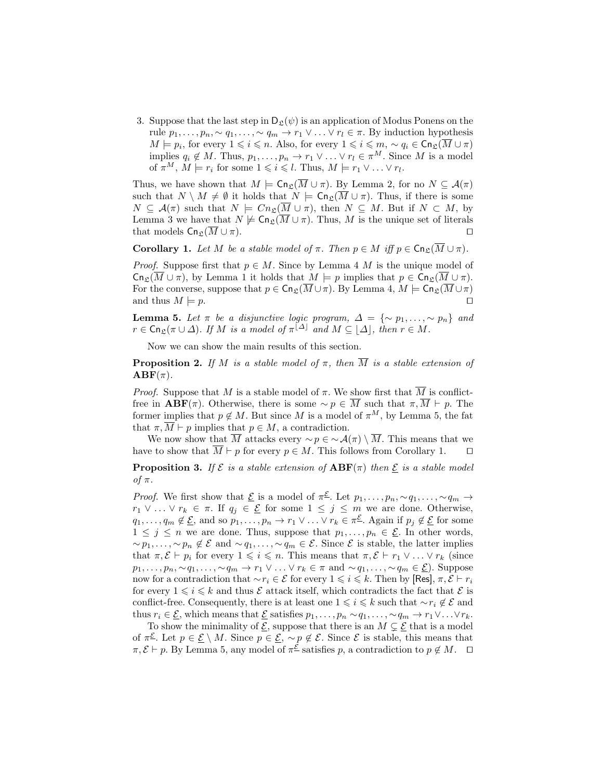3. Suppose that the last step in  $D_{\mathcal{L}}(\psi)$  is an application of Modus Ponens on the rule  $p_1, \ldots, p_n, \sim q_1, \ldots, \sim q_m \to r_1 \vee \ldots \vee r_l \in \pi$ . By induction hypothesis  $M \models p_i$ , for every  $1 \leqslant i \leqslant n$ . Also, for every  $1 \leqslant i \leqslant m$ ,  $\sim q_i \in \mathsf{Cn}_\mathfrak{L}(\overline{M} \cup \pi)$ implies  $q_i \notin M$ . Thus,  $p_1, \ldots, p_n \to r_1 \vee \ldots \vee r_l \in \pi^M$ . Since M is a model of  $\pi^M$ ,  $M \models r_i$  for some  $1 \leqslant i \leqslant l$ . Thus,  $M \models r_1 \vee \ldots \vee r_l$ .

Thus, we have shown that  $M \models \mathsf{Cn}_{\mathfrak{L}}(\overline{M} \cup \pi)$ . By Lemma 2, for no  $N \subseteq \mathcal{A}(\pi)$ such that  $N \setminus M \neq \emptyset$  it holds that  $N \models \mathsf{Cn}_\mathfrak{L}(\overline{M} \cup \pi)$ . Thus, if there is some  $N \subseteq \mathcal{A}(\pi)$  such that  $N \models Cn_{\mathfrak{L}}(\overline{M} \cup \pi)$ , then  $N \subseteq M$ . But if  $N \subset M$ , by Lemma 3 we have that  $N \not\models \mathsf{Cn}_\mathfrak{L}(\overline{M} \cup \pi)$ . Thus, M is the unique set of literals that models  $\text{Cn}_{\mathfrak{L}}(\overline{M} \cup \pi)$ .

**Corollary 1.** Let M be a stable model of  $\pi$ . Then  $p \in M$  iff  $p \in \text{Cn}_{\mathfrak{L}}(\overline{M} \cup \pi)$ .

*Proof.* Suppose first that  $p \in M$ . Since by Lemma 4 M is the unique model of  $\textsf{Cn}_{\mathfrak{L}}(M \cup \pi)$ , by Lemma 1 it holds that  $M \models p$  implies that  $p \in \textsf{Cn}_{\mathfrak{L}}(M \cup \pi)$ . For the converse, suppose that  $p \in \mathsf{Cn}_\mathfrak{L}(\overline{M} \cup \pi)$ . By Lemma 4,  $M \models \mathsf{Cn}_\mathfrak{L}(\overline{M} \cup \pi)$ and thus  $M \models p$ .

**Lemma 5.** Let  $\pi$  be a disjunctive logic program,  $\Delta = {\sim p_1, ..., \sim p_n}$  and  $r \in \mathsf{Cn}_{\mathfrak{L}}(\pi \cup \Delta)$ . If M is a model of  $\pi^{\lfloor \Delta \rfloor}$  and  $M \subseteq \lfloor \Delta \rfloor$ , then  $r \in M$ .

Now we can show the main results of this section.

**Proposition 2.** If M is a stable model of  $\pi$ , then  $\overline{M}$  is a stable extension of  $\mathbf{ABF}(\pi)$ .

*Proof.* Suppose that M is a stable model of  $\pi$ . We show first that  $\overline{M}$  is conflictfree in  $ABF(\pi)$ . Otherwise, there is some  $\sim p \in \overline{M}$  such that  $\pi, \overline{M} \vdash p$ . The former implies that  $p \notin M$ . But since M is a model of  $\pi^M$ , by Lemma 5, the fat that  $\pi, \overline{M} \vdash p$  implies that  $p \in M$ , a contradiction.

We now show that  $\overline{M}$  attacks every  $\sim p \in \sim \mathcal{A}(\pi) \setminus \overline{M}$ . This means that we have to show that  $\overline{M} \vdash p$  for every  $p \in M$ . This follows from Corollary 1.  $\Box$ 

**Proposition 3.** If  $\mathcal{E}$  is a stable extension of  $ABF(\pi)$  then  $\underline{\mathcal{E}}$  is a stable model of π.

*Proof.* We first show that  $\underline{\mathcal{E}}$  is a model of  $\pi^{\underline{\mathcal{E}}}$ . Let  $p_1, \ldots, p_n, \sim q_1, \ldots, \sim q_m \to$  $r_1 \vee \ldots \vee r_k \in \pi$ . If  $q_j \in \underline{\mathcal{E}}$  for some  $1 \leq j \leq m$  we are done. Otherwise,  $q_1,\ldots,q_m \notin \underline{\mathcal{E}}$ , and so  $p_1,\ldots,p_n \to r_1 \vee \ldots \vee r_k \in \pi^{\underline{\mathcal{E}}}$ . Again if  $p_j \notin \underline{\mathcal{E}}$  for some  $1 \leq j \leq n$  we are done. Thus, suppose that  $p_1, \ldots, p_n \in \mathcal{E}$ . In other words,  $\sim p_1, \ldots, \sim p_n \notin \mathcal{E}$  and  $\sim q_1, \ldots, \sim q_m \in \mathcal{E}$ . Since  $\mathcal{E}$  is stable, the latter implies that  $\pi, \mathcal{E} \vdash p_i$  for every  $1 \leq i \leq n$ . This means that  $\pi, \mathcal{E} \vdash r_1 \vee \ldots \vee r_k$  (since  $p_1, \ldots, p_n, \sim q_1, \ldots, \sim q_m \to r_1 \vee \ldots \vee r_k \in \pi \text{ and } \sim q_1, \ldots, \sim q_m \in \underline{\mathcal{E}}$ ). Suppose now for a contradiction that  $\sim r_i \in \mathcal{E}$  for every  $1 \leq i \leq k$ . Then by [Res],  $\pi, \mathcal{E} \vdash r_i$ for every  $1 \leq i \leq k$  and thus  $\mathcal E$  attack itself, which contradicts the fact that  $\mathcal E$  is conflict-free. Consequently, there is at least one  $1 \leq i \leq k$  such that  $\sim r_i \notin \mathcal{E}$  and thus  $r_i \in \underline{\mathcal{E}}$ , which means that  $\underline{\mathcal{E}}$  satisfies  $p_1, \ldots, p_n \sim q_1, \ldots, \sim q_m \to r_1 \vee \ldots \vee r_k$ .

To show the minimality of  $\underline{\mathcal{E}}$ , suppose that there is an  $M \subsetneq \underline{\mathcal{E}}$  that is a model of  $\pi^{\underline{\mathcal{E}}}$ . Let  $p \in \underline{\mathcal{E}} \setminus M$ . Since  $p \in \underline{\mathcal{E}}$ ,  $\sim p \notin \mathcal{E}$ . Since  $\mathcal{E}$  is stable, this means that  $\pi, \mathcal{E} \vdash p$ . By Lemma 5, any model of  $\pi^{\mathcal{E}}$  satisfies p, a contradiction to  $p \notin M$ .  $\Box$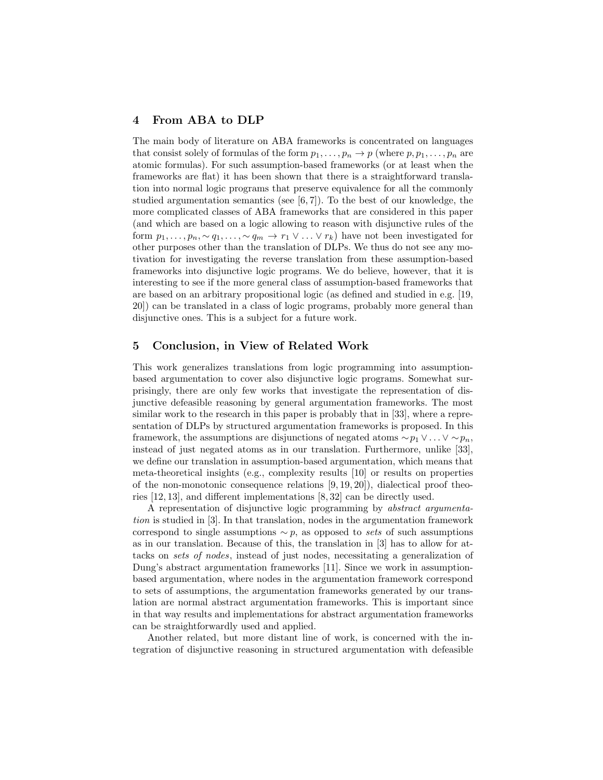# 4 From ABA to DLP

The main body of literature on ABA frameworks is concentrated on languages that consist solely of formulas of the form  $p_1, \ldots, p_n \to p$  (where  $p, p_1, \ldots, p_n$  are atomic formulas). For such assumption-based frameworks (or at least when the frameworks are flat) it has been shown that there is a straightforward translation into normal logic programs that preserve equivalence for all the commonly studied argumentation semantics (see [6, 7]). To the best of our knowledge, the more complicated classes of ABA frameworks that are considered in this paper (and which are based on a logic allowing to reason with disjunctive rules of the form  $p_1, \ldots, p_n, \sim q_1, \ldots, \sim q_m \to r_1 \vee \ldots \vee r_k$  have not been investigated for other purposes other than the translation of DLPs. We thus do not see any motivation for investigating the reverse translation from these assumption-based frameworks into disjunctive logic programs. We do believe, however, that it is interesting to see if the more general class of assumption-based frameworks that are based on an arbitrary propositional logic (as defined and studied in e.g. [19, 20]) can be translated in a class of logic programs, probably more general than disjunctive ones. This is a subject for a future work.

#### 5 Conclusion, in View of Related Work

This work generalizes translations from logic programming into assumptionbased argumentation to cover also disjunctive logic programs. Somewhat surprisingly, there are only few works that investigate the representation of disjunctive defeasible reasoning by general argumentation frameworks. The most similar work to the research in this paper is probably that in [33], where a representation of DLPs by structured argumentation frameworks is proposed. In this framework, the assumptions are disjunctions of negated atoms  $\sim p_1 \vee \ldots \vee \sim p_n$ , instead of just negated atoms as in our translation. Furthermore, unlike [33], we define our translation in assumption-based argumentation, which means that meta-theoretical insights (e.g., complexity results [10] or results on properties of the non-monotonic consequence relations  $(9, 19, 20)$ , dialectical proof theories [12, 13], and different implementations [8, 32] can be directly used.

A representation of disjunctive logic programming by abstract argumentation is studied in [3]. In that translation, nodes in the argumentation framework correspond to single assumptions  $\sim p$ , as opposed to sets of such assumptions as in our translation. Because of this, the translation in [3] has to allow for attacks on sets of nodes, instead of just nodes, necessitating a generalization of Dung's abstract argumentation frameworks [11]. Since we work in assumptionbased argumentation, where nodes in the argumentation framework correspond to sets of assumptions, the argumentation frameworks generated by our translation are normal abstract argumentation frameworks. This is important since in that way results and implementations for abstract argumentation frameworks can be straightforwardly used and applied.

Another related, but more distant line of work, is concerned with the integration of disjunctive reasoning in structured argumentation with defeasible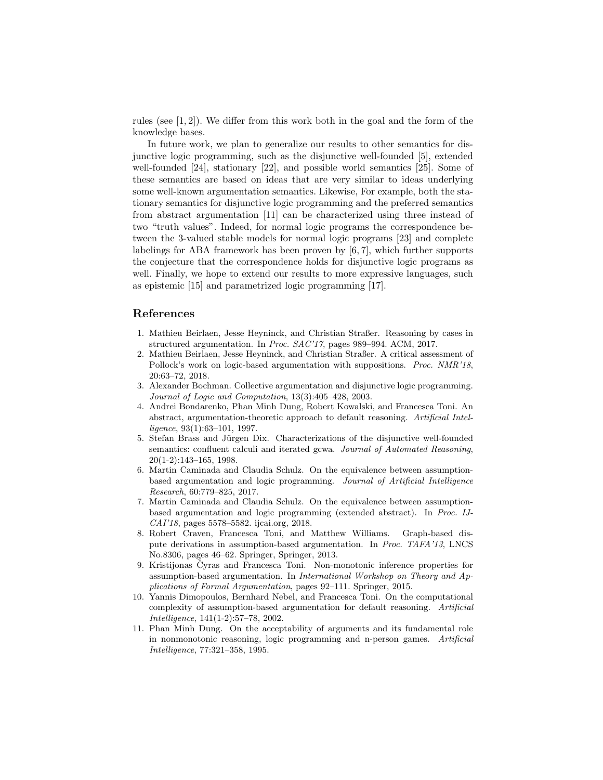rules (see  $[1, 2]$ ). We differ from this work both in the goal and the form of the knowledge bases.

In future work, we plan to generalize our results to other semantics for disjunctive logic programming, such as the disjunctive well-founded [5], extended well-founded [24], stationary [22], and possible world semantics [25]. Some of these semantics are based on ideas that are very similar to ideas underlying some well-known argumentation semantics. Likewise, For example, both the stationary semantics for disjunctive logic programming and the preferred semantics from abstract argumentation [11] can be characterized using three instead of two "truth values". Indeed, for normal logic programs the correspondence between the 3-valued stable models for normal logic programs [23] and complete labelings for ABA framework has been proven by [6, 7], which further supports the conjecture that the correspondence holds for disjunctive logic programs as well. Finally, we hope to extend our results to more expressive languages, such as epistemic [15] and parametrized logic programming [17].

# References

- 1. Mathieu Beirlaen, Jesse Heyninck, and Christian Straßer. Reasoning by cases in structured argumentation. In Proc. SAC'17, pages 989–994. ACM, 2017.
- 2. Mathieu Beirlaen, Jesse Heyninck, and Christian Straßer. A critical assessment of Pollock's work on logic-based argumentation with suppositions. Proc. NMR'18, 20:63–72, 2018.
- 3. Alexander Bochman. Collective argumentation and disjunctive logic programming. Journal of Logic and Computation, 13(3):405–428, 2003.
- 4. Andrei Bondarenko, Phan Minh Dung, Robert Kowalski, and Francesca Toni. An abstract, argumentation-theoretic approach to default reasoning. Artificial Intelligence, 93(1):63–101, 1997.
- 5. Stefan Brass and Jürgen Dix. Characterizations of the disjunctive well-founded semantics: confluent calculi and iterated gcwa. Journal of Automated Reasoning, 20(1-2):143–165, 1998.
- 6. Martin Caminada and Claudia Schulz. On the equivalence between assumptionbased argumentation and logic programming. Journal of Artificial Intelligence Research, 60:779–825, 2017.
- 7. Martin Caminada and Claudia Schulz. On the equivalence between assumptionbased argumentation and logic programming (extended abstract). In Proc. IJ-CAI'18, pages 5578–5582. ijcai.org, 2018.
- 8. Robert Craven, Francesca Toni, and Matthew Williams. Graph-based dispute derivations in assumption-based argumentation. In Proc. TAFA'13, LNCS No.8306, pages 46–62. Springer, Springer, 2013.
- 9. Kristijonas Čyras and Francesca Toni. Non-monotonic inference properties for assumption-based argumentation. In International Workshop on Theory and Applications of Formal Argumentation, pages 92–111. Springer, 2015.
- 10. Yannis Dimopoulos, Bernhard Nebel, and Francesca Toni. On the computational complexity of assumption-based argumentation for default reasoning. Artificial Intelligence, 141(1-2):57–78, 2002.
- 11. Phan Minh Dung. On the acceptability of arguments and its fundamental role in nonmonotonic reasoning, logic programming and n-person games. Artificial Intelligence, 77:321–358, 1995.